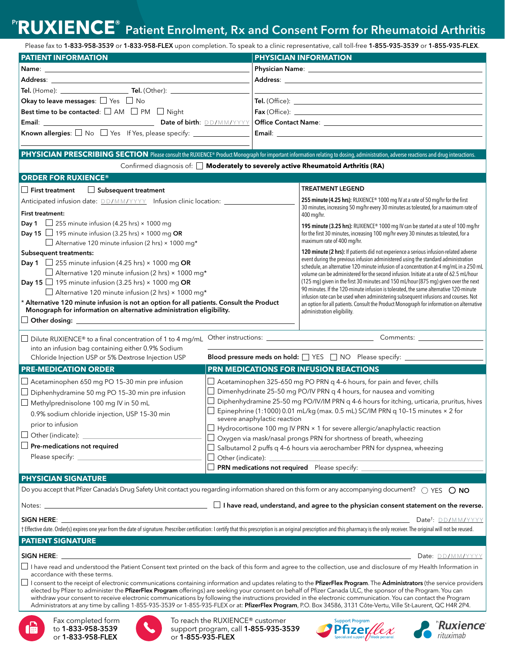# Pr**RUXIENCE**® Patient Enrolment, Rx and Consent Form for Rheumatoid Arthritis

|                                                                                                                                                                                                                                                                                                                                                                                                                                                                                                                                                                                                                                                                                                                                                                                                                                           |                                                                                  | <b>KUAIEINUE</b> Patient Enrolment, Rx and Consent Form for Rheumatoid Arthritis                                                                                                                                                                                                                                                                                                                                                                                                                                                                                                                                                                                                                                                                               |  |
|-------------------------------------------------------------------------------------------------------------------------------------------------------------------------------------------------------------------------------------------------------------------------------------------------------------------------------------------------------------------------------------------------------------------------------------------------------------------------------------------------------------------------------------------------------------------------------------------------------------------------------------------------------------------------------------------------------------------------------------------------------------------------------------------------------------------------------------------|----------------------------------------------------------------------------------|----------------------------------------------------------------------------------------------------------------------------------------------------------------------------------------------------------------------------------------------------------------------------------------------------------------------------------------------------------------------------------------------------------------------------------------------------------------------------------------------------------------------------------------------------------------------------------------------------------------------------------------------------------------------------------------------------------------------------------------------------------------|--|
|                                                                                                                                                                                                                                                                                                                                                                                                                                                                                                                                                                                                                                                                                                                                                                                                                                           |                                                                                  | Please fax to 1-833-958-3539 or 1-833-958-FLEX upon completion. To speak to a clinic representative, call toll-free 1-855-935-3539 or 1-855-935-PLEX.                                                                                                                                                                                                                                                                                                                                                                                                                                                                                                                                                                                                          |  |
| <b>PATIENT INFORMATION</b>                                                                                                                                                                                                                                                                                                                                                                                                                                                                                                                                                                                                                                                                                                                                                                                                                |                                                                                  | <b>PHYSICIAN INFORMATION</b>                                                                                                                                                                                                                                                                                                                                                                                                                                                                                                                                                                                                                                                                                                                                   |  |
|                                                                                                                                                                                                                                                                                                                                                                                                                                                                                                                                                                                                                                                                                                                                                                                                                                           |                                                                                  |                                                                                                                                                                                                                                                                                                                                                                                                                                                                                                                                                                                                                                                                                                                                                                |  |
|                                                                                                                                                                                                                                                                                                                                                                                                                                                                                                                                                                                                                                                                                                                                                                                                                                           |                                                                                  |                                                                                                                                                                                                                                                                                                                                                                                                                                                                                                                                                                                                                                                                                                                                                                |  |
|                                                                                                                                                                                                                                                                                                                                                                                                                                                                                                                                                                                                                                                                                                                                                                                                                                           |                                                                                  |                                                                                                                                                                                                                                                                                                                                                                                                                                                                                                                                                                                                                                                                                                                                                                |  |
| Okay to leave messages: $\square$ Yes $\square$ No                                                                                                                                                                                                                                                                                                                                                                                                                                                                                                                                                                                                                                                                                                                                                                                        |                                                                                  |                                                                                                                                                                                                                                                                                                                                                                                                                                                                                                                                                                                                                                                                                                                                                                |  |
| Best time to be contacted: $\square$ AM $\square$ PM $\square$ Night                                                                                                                                                                                                                                                                                                                                                                                                                                                                                                                                                                                                                                                                                                                                                                      |                                                                                  |                                                                                                                                                                                                                                                                                                                                                                                                                                                                                                                                                                                                                                                                                                                                                                |  |
| Email: <b>Exercise Email</b>                                                                                                                                                                                                                                                                                                                                                                                                                                                                                                                                                                                                                                                                                                                                                                                                              | Date of birth: DD/MM/YYYY                                                        |                                                                                                                                                                                                                                                                                                                                                                                                                                                                                                                                                                                                                                                                                                                                                                |  |
| <b>Known allergies:</b> $\Box$ No $\Box$ Yes If Yes, please specify: $\Box$                                                                                                                                                                                                                                                                                                                                                                                                                                                                                                                                                                                                                                                                                                                                                               |                                                                                  | Email: Email: All and the state of the state of the state of the state of the state of the state of the state of the state of the state of the state of the state of the state of the state of the state of the state of the s                                                                                                                                                                                                                                                                                                                                                                                                                                                                                                                                 |  |
| PHYSICIAN PRESCRIBING SECTION Please consult the RUXIENCE® Product Monograph for important information relating to dosing, administration, adverse reactions and drug interactions.                                                                                                                                                                                                                                                                                                                                                                                                                                                                                                                                                                                                                                                       |                                                                                  |                                                                                                                                                                                                                                                                                                                                                                                                                                                                                                                                                                                                                                                                                                                                                                |  |
|                                                                                                                                                                                                                                                                                                                                                                                                                                                                                                                                                                                                                                                                                                                                                                                                                                           |                                                                                  | Confirmed diagnosis of: [ Moderately to severely active Rheumatoid Arthritis (RA)                                                                                                                                                                                                                                                                                                                                                                                                                                                                                                                                                                                                                                                                              |  |
| <b>ORDER FOR RUXIENCE®</b>                                                                                                                                                                                                                                                                                                                                                                                                                                                                                                                                                                                                                                                                                                                                                                                                                |                                                                                  |                                                                                                                                                                                                                                                                                                                                                                                                                                                                                                                                                                                                                                                                                                                                                                |  |
| $\Box$ Subsequent treatment<br><b>First treatment</b><br>Anticipated infusion date: <b>DD/MM/YYYY</b> Infusion clinic location: ______________<br><b>First treatment:</b><br><b>Day 1</b> $\Box$ 255 minute infusion (4.25 hrs) × 1000 mg<br>Day 15 $\Box$ 195 minute infusion (3.25 hrs) × 1000 mg OR<br>$\Box$ Alternative 120 minute infusion (2 hrs) × 1000 mg*<br><b>Subsequent treatments:</b><br><b>Day 1</b> $\Box$ 255 minute infusion (4.25 hrs) $\times$ 1000 mg OR<br>$\Box$ Alternative 120 minute infusion (2 hrs) × 1000 mg*<br>Day 15 $\Box$ 195 minute infusion (3.25 hrs) × 1000 mg OR<br>$\Box$ Alternative 120 minute infusion (2 hrs) × 1000 mg*<br>* Alternative 120 minute infusion is not an option for all patients. Consult the Product<br>Monograph for information on alternative administration eligibility. |                                                                                  | <b>TREATMENT LEGEND</b>                                                                                                                                                                                                                                                                                                                                                                                                                                                                                                                                                                                                                                                                                                                                        |  |
|                                                                                                                                                                                                                                                                                                                                                                                                                                                                                                                                                                                                                                                                                                                                                                                                                                           |                                                                                  | 255 minute (4.25 hrs): RUXIENCE® 1000 mg IV at a rate of 50 mg/hr for the first<br>30 minutes, increasing 50 mg/hr every 30 minutes as tolerated, for a maximum rate of<br>400 mg/hr.                                                                                                                                                                                                                                                                                                                                                                                                                                                                                                                                                                          |  |
|                                                                                                                                                                                                                                                                                                                                                                                                                                                                                                                                                                                                                                                                                                                                                                                                                                           |                                                                                  | 195 minute (3.25 hrs): RUXIENCE® 1000 mg IV can be started at a rate of 100 mg/hr<br>for the first 30 minutes, increasing 100 mg/hr every 30 minutes as tolerated, for a<br>maximum rate of 400 mg/hr.                                                                                                                                                                                                                                                                                                                                                                                                                                                                                                                                                         |  |
|                                                                                                                                                                                                                                                                                                                                                                                                                                                                                                                                                                                                                                                                                                                                                                                                                                           |                                                                                  | 120 minute (2 hrs): If patients did not experience a serious infusion-related adverse<br>event during the previous infusion administered using the standard administration<br>schedule, an alternative 120-minute infusion of a concentration at 4 mg/mL in a 250 mL<br>volume can be administered for the second infusion. Initiate at a rate of 62.5 mL/hour<br>(125 mg) given in the first 30 minutes and 150 mL/hour (875 mg) given over the next<br>90 minutes. If the 120-minute infusion is tolerated, the same alternative 120-minute<br>infusion rate can be used when administering subsequent infusions and courses. Not<br>an option for all patients. Consult the Product Monograph for information on alternative<br>administration eligibility. |  |
| Dilute RUXIENCE® to a final concentration of 1 to 4 mg/mL<br>into an infusion bag containing either 0.9% Sodium<br>Chloride Injection USP or 5% Dextrose Injection USP                                                                                                                                                                                                                                                                                                                                                                                                                                                                                                                                                                                                                                                                    |                                                                                  |                                                                                                                                                                                                                                                                                                                                                                                                                                                                                                                                                                                                                                                                                                                                                                |  |
|                                                                                                                                                                                                                                                                                                                                                                                                                                                                                                                                                                                                                                                                                                                                                                                                                                           | Blood pressure meds on hold: TYES TNO Please specify: __________________________ |                                                                                                                                                                                                                                                                                                                                                                                                                                                                                                                                                                                                                                                                                                                                                                |  |
| <b>PRE-MEDICATION ORDER</b>                                                                                                                                                                                                                                                                                                                                                                                                                                                                                                                                                                                                                                                                                                                                                                                                               | PRN MEDICATIONS FOR INFUSION REACTIONS                                           |                                                                                                                                                                                                                                                                                                                                                                                                                                                                                                                                                                                                                                                                                                                                                                |  |
| Acetaminophen 650 mg PO 15-30 min pre infusion<br>Diphenhydramine 50 mg PO 15-30 min pre infusion<br>Methylprednisolone 100 mg IV in 50 mL<br>0.9% sodium chloride injection, USP 15-30 min<br>severe anaphylactic reaction<br>prior to infusion<br>Other (indicate):<br>Pre-medications not required<br>Please specify:<br>$\Box$ Other (indicate):                                                                                                                                                                                                                                                                                                                                                                                                                                                                                      |                                                                                  | $\Box$ Acetaminophen 325-650 mg PO PRN q 4-6 hours, for pain and fever, chills<br>$\Box$ Dimenhydrinate 25-50 mg PO/IV PRN q 4 hours, for nausea and vomiting<br>Diphenhydramine 25-50 mg PO/IV/IM PRN q 4-6 hours for itching, urticaria, pruritus, hives<br>Epinephrine (1:1000) 0.01 mL/kg (max. 0.5 mL) SC/IM PRN q 10-15 minutes × 2 for<br>$\Box$ Hydrocortisone 100 mg IV PRN $\times$ 1 for severe allergic/anaphylactic reaction<br>$\Box$ Oxygen via mask/nasal prongs PRN for shortness of breath, wheezing<br>$\Box$ Salbutamol 2 puffs q 4-6 hours via aerochamber PRN for dyspnea, wheezing                                                                                                                                                      |  |
|                                                                                                                                                                                                                                                                                                                                                                                                                                                                                                                                                                                                                                                                                                                                                                                                                                           | PRN medications not required Please specify:                                     |                                                                                                                                                                                                                                                                                                                                                                                                                                                                                                                                                                                                                                                                                                                                                                |  |
| <b>PHYSICIAN SIGNATURE</b>                                                                                                                                                                                                                                                                                                                                                                                                                                                                                                                                                                                                                                                                                                                                                                                                                |                                                                                  |                                                                                                                                                                                                                                                                                                                                                                                                                                                                                                                                                                                                                                                                                                                                                                |  |

| Do you accept that Pfizer Canada's Drug Safety Unit contact you regarding information shared on this form or any accompanying document? $\;\bigcirc$ YES $\;\bigcirc$ <b>NO</b> |  |  |  |
|---------------------------------------------------------------------------------------------------------------------------------------------------------------------------------|--|--|--|
|---------------------------------------------------------------------------------------------------------------------------------------------------------------------------------|--|--|--|

Notes: <u>I have read, understand, and agree to the physician consent statement on the reverse.</u>

Date<sup>t</sup>: DD/MM/YYYY

SIGN HERE: Date†

**PATIENT SIGNATURE** † Effective date. Order(s) expires one year from the date of signature. Prescriber certification: I certify that this prescription is an original prescription and this pharmacy is the only receiver. The original will not b

SIGN HERE: Date: D D/ M M /YYYY

 $\Box$  I have read and understood the Patient Consent text printed on the back of this form and agree to the collection, use and disclosure of my Health Information in accordance with these terms.

 $\Box$  I consent to the receipt of electronic communications containing information and updates relating to the **PfizerFlex Program**. The **Administrators** (the service providers elected by Pfizer to administer the PfizerFlex Program offerings) are seeking your consent on behalf of Pfizer Canada ULC, the sponsor of the Program. You can withdraw your consent to receive electronic communications by following the instructions provided in the electronic communication. You can contact the Program Administrators at any time by calling 1-855-935-3539 or 1-855-935-FLEX or at: PfizerFlex Program, P.O. Box 34586, 3131 Côte-Vertu, Ville St-Laurent, QC H4R 2P4.



Fax completed form to 1-833-958-3539 or 1-833-958-FLEX



To reach the RUXIENCE® customer support program, call 1-855-935-3539 or 1-855-935-FLEX